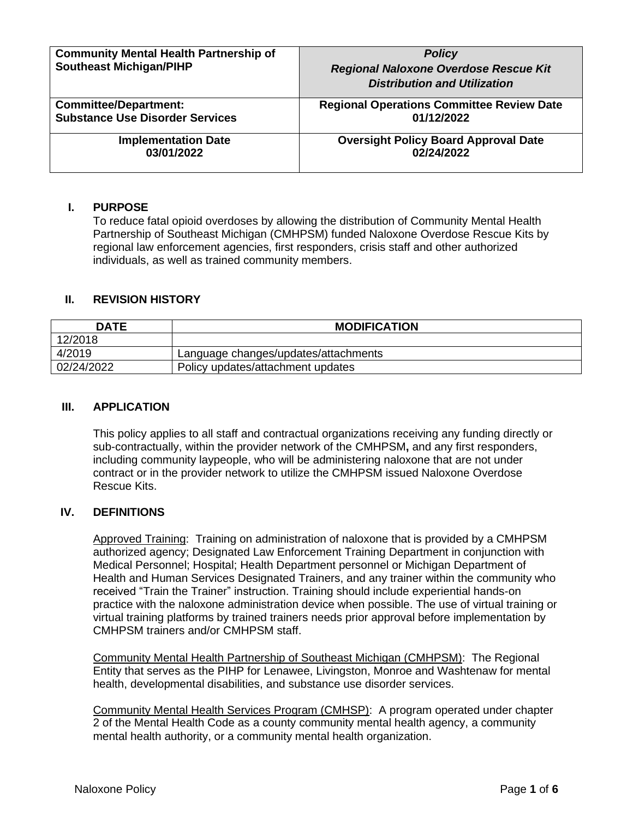| <b>Community Mental Health Partnership of</b><br><b>Southeast Michigan/PIHP</b> | <b>Policy</b><br>Regional Naloxone Overdose Rescue Kit<br><b>Distribution and Utilization</b> |
|---------------------------------------------------------------------------------|-----------------------------------------------------------------------------------------------|
| <b>Committee/Department:</b>                                                    | <b>Regional Operations Committee Review Date</b>                                              |
| <b>Substance Use Disorder Services</b>                                          | 01/12/2022                                                                                    |
| <b>Implementation Date</b>                                                      | <b>Oversight Policy Board Approval Date</b>                                                   |
| 03/01/2022                                                                      | 02/24/2022                                                                                    |

# **I. PURPOSE**

To reduce fatal opioid overdoses by allowing the distribution of Community Mental Health Partnership of Southeast Michigan (CMHPSM) funded Naloxone Overdose Rescue Kits by regional law enforcement agencies, first responders, crisis staff and other authorized individuals, as well as trained community members.

### **II. REVISION HISTORY**

| <b>DATE</b> | <b>MODIFICATION</b>                  |
|-------------|--------------------------------------|
| 12/2018     |                                      |
| 4/2019      | Language changes/updates/attachments |
| 02/24/2022  | Policy updates/attachment updates    |

#### **III. APPLICATION**

This policy applies to all staff and contractual organizations receiving any funding directly or sub-contractually, within the provider network of the CMHPSM**,** and any first responders, including community laypeople, who will be administering naloxone that are not under contract or in the provider network to utilize the CMHPSM issued Naloxone Overdose Rescue Kits.

#### **IV. DEFINITIONS**

Approved Training: Training on administration of naloxone that is provided by a CMHPSM authorized agency; Designated Law Enforcement Training Department in conjunction with Medical Personnel; Hospital; Health Department personnel or Michigan Department of Health and Human Services Designated Trainers, and any trainer within the community who received "Train the Trainer" instruction. Training should include experiential hands-on practice with the naloxone administration device when possible. The use of virtual training or virtual training platforms by trained trainers needs prior approval before implementation by CMHPSM trainers and/or CMHPSM staff.

Community Mental Health Partnership of Southeast Michigan (CMHPSM): The Regional Entity that serves as the PIHP for Lenawee, Livingston, Monroe and Washtenaw for mental health, developmental disabilities, and substance use disorder services.

Community Mental Health Services Program (CMHSP): A program operated under chapter 2 of the Mental Health Code as a county community mental health agency, a community mental health authority, or a community mental health organization.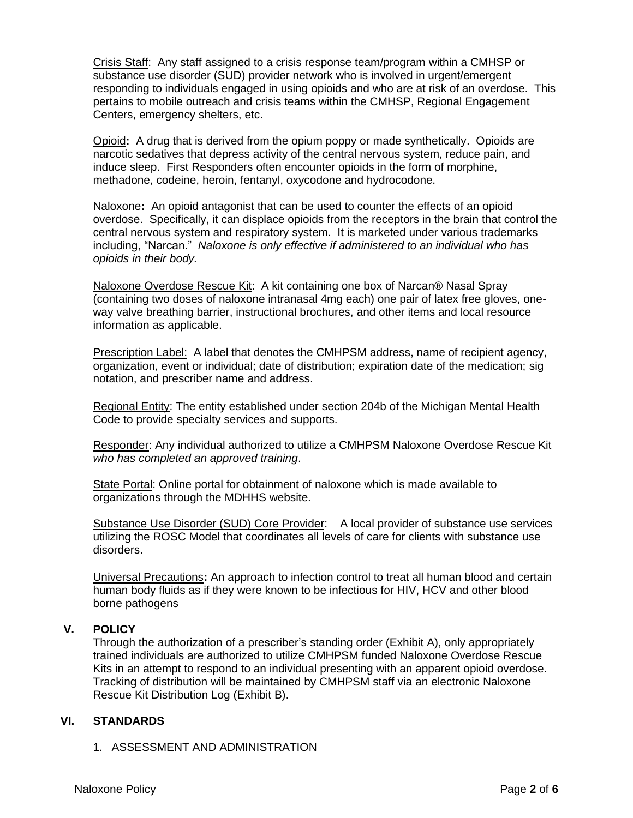Crisis Staff: Any staff assigned to a crisis response team/program within a CMHSP or substance use disorder (SUD) provider network who is involved in urgent/emergent responding to individuals engaged in using opioids and who are at risk of an overdose. This pertains to mobile outreach and crisis teams within the CMHSP, Regional Engagement Centers, emergency shelters, etc.

Opioid**:** A drug that is derived from the opium poppy or made synthetically. Opioids are narcotic sedatives that depress activity of the central nervous system, reduce pain, and induce sleep. First Responders often encounter opioids in the form of morphine, methadone, codeine, heroin, fentanyl, oxycodone and hydrocodone.

Naloxone**:** An opioid antagonist that can be used to counter the effects of an opioid overdose. Specifically, it can displace opioids from the receptors in the brain that control the central nervous system and respiratory system. It is marketed under various trademarks including, "Narcan." *Naloxone is only effective if administered to an individual who has opioids in their body.*

Naloxone Overdose Rescue Kit: A kit containing one box of Narcan® Nasal Spray (containing two doses of naloxone intranasal 4mg each) one pair of latex free gloves, oneway valve breathing barrier, instructional brochures, and other items and local resource information as applicable.

Prescription Label: A label that denotes the CMHPSM address, name of recipient agency, organization, event or individual; date of distribution; expiration date of the medication; sig notation, and prescriber name and address.

Regional Entity: The entity established under section 204b of the Michigan Mental Health Code to provide specialty services and supports.

Responder: Any individual authorized to utilize a CMHPSM Naloxone Overdose Rescue Kit *who has completed an approved training*.

State Portal: Online portal for obtainment of naloxone which is made available to organizations through the MDHHS website.

Substance Use Disorder (SUD) Core Provider: A local provider of substance use services utilizing the ROSC Model that coordinates all levels of care for clients with substance use disorders.

Universal Precautions**:** An approach to infection control to treat all human blood and certain human body fluids as if they were known to be infectious for HIV, HCV and other blood borne pathogens

# **V. POLICY**

Through the authorization of a prescriber's standing order (Exhibit A), only appropriately trained individuals are authorized to utilize CMHPSM funded Naloxone Overdose Rescue Kits in an attempt to respond to an individual presenting with an apparent opioid overdose. Tracking of distribution will be maintained by CMHPSM staff via an electronic Naloxone Rescue Kit Distribution Log (Exhibit B).

#### **VI. STANDARDS**

1. ASSESSMENT AND ADMINISTRATION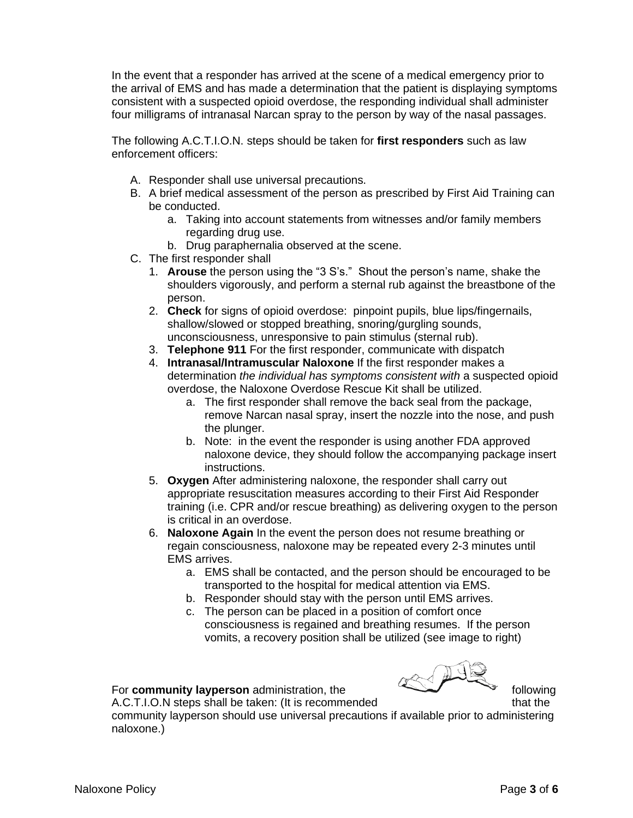In the event that a responder has arrived at the scene of a medical emergency prior to the arrival of EMS and has made a determination that the patient is displaying symptoms consistent with a suspected opioid overdose, the responding individual shall administer four milligrams of intranasal Narcan spray to the person by way of the nasal passages.

The following A.C.T.I.O.N. steps should be taken for **first responders** such as law enforcement officers:

- A. Responder shall use universal precautions.
- B. A brief medical assessment of the person as prescribed by First Aid Training can be conducted.
	- a. Taking into account statements from witnesses and/or family members regarding drug use.
	- b. Drug paraphernalia observed at the scene.
- C. The first responder shall
	- 1. **Arouse** the person using the "3 S's." Shout the person's name, shake the shoulders vigorously, and perform a sternal rub against the breastbone of the person.
	- 2. **Check** for signs of opioid overdose: pinpoint pupils, blue lips/fingernails, shallow/slowed or stopped breathing, snoring/gurgling sounds, unconsciousness, unresponsive to pain stimulus (sternal rub).
	- 3. **Telephone 911** For the first responder, communicate with dispatch
	- 4. **Intranasal/Intramuscular Naloxone** If the first responder makes a determination *the individual has symptoms consistent with* a suspected opioid overdose, the Naloxone Overdose Rescue Kit shall be utilized.
		- a. The first responder shall remove the back seal from the package, remove Narcan nasal spray, insert the nozzle into the nose, and push the plunger.
		- b. Note: in the event the responder is using another FDA approved naloxone device, they should follow the accompanying package insert instructions.
	- 5. **Oxygen** After administering naloxone, the responder shall carry out appropriate resuscitation measures according to their First Aid Responder training (i.e. CPR and/or rescue breathing) as delivering oxygen to the person is critical in an overdose.
	- 6. **Naloxone Again** In the event the person does not resume breathing or regain consciousness, naloxone may be repeated every 2-3 minutes until EMS arrives.
		- a. EMS shall be contacted, and the person should be encouraged to be transported to the hospital for medical attention via EMS.
		- b. Responder should stay with the person until EMS arrives.
		- c. The person can be placed in a position of comfort once consciousness is regained and breathing resumes. If the person vomits, a recovery position shall be utilized (see image to right)

#### For **community layperson** administration, the **following** following

A.C.T.I.O.N steps shall be taken: (It is recommended that the that the

community layperson should use universal precautions if available prior to administering naloxone.)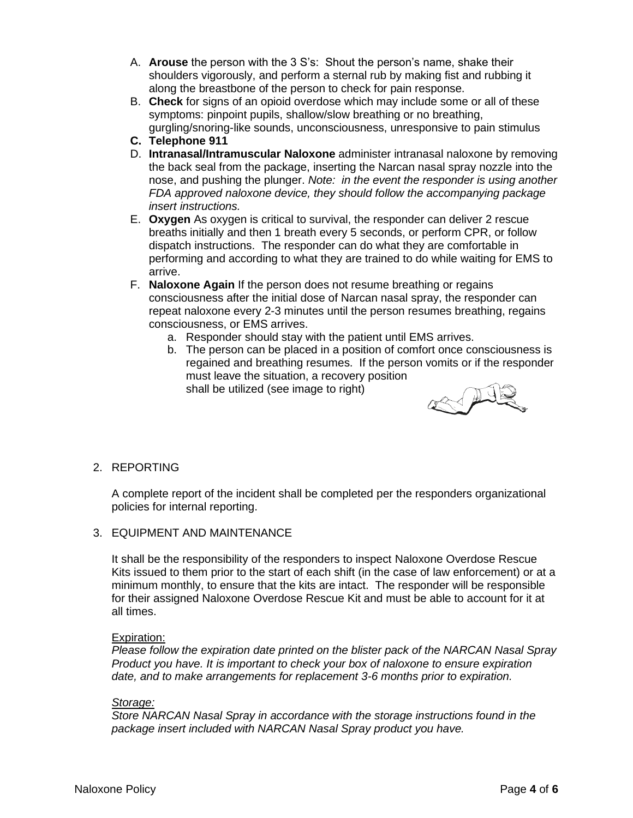- A. **Arouse** the person with the 3 S's: Shout the person's name, shake their shoulders vigorously, and perform a sternal rub by making fist and rubbing it along the breastbone of the person to check for pain response.
- B. **Check** for signs of an opioid overdose which may include some or all of these symptoms: pinpoint pupils, shallow/slow breathing or no breathing, gurgling/snoring-like sounds, unconsciousness, unresponsive to pain stimulus
- **C. Telephone 911**
- D. **Intranasal/Intramuscular Naloxone** administer intranasal naloxone by removing the back seal from the package, inserting the Narcan nasal spray nozzle into the nose, and pushing the plunger. *Note: in the event the responder is using another FDA approved naloxone device, they should follow the accompanying package insert instructions.*
- E. **Oxygen** As oxygen is critical to survival, the responder can deliver 2 rescue breaths initially and then 1 breath every 5 seconds, or perform CPR, or follow dispatch instructions. The responder can do what they are comfortable in performing and according to what they are trained to do while waiting for EMS to arrive.
- F. **Naloxone Again** If the person does not resume breathing or regains consciousness after the initial dose of Narcan nasal spray, the responder can repeat naloxone every 2-3 minutes until the person resumes breathing, regains consciousness, or EMS arrives.
	- a. Responder should stay with the patient until EMS arrives.
	- b. The person can be placed in a position of comfort once consciousness is regained and breathing resumes. If the person vomits or if the responder must leave the situation, a recovery position shall be utilized (see image to right)



# 2. REPORTING

A complete report of the incident shall be completed per the responders organizational policies for internal reporting.

3. EQUIPMENT AND MAINTENANCE

It shall be the responsibility of the responders to inspect Naloxone Overdose Rescue Kits issued to them prior to the start of each shift (in the case of law enforcement) or at a minimum monthly, to ensure that the kits are intact. The responder will be responsible for their assigned Naloxone Overdose Rescue Kit and must be able to account for it at all times.

#### Expiration:

*Please follow the expiration date printed on the blister pack of the NARCAN Nasal Spray Product you have. It is important to check your box of naloxone to ensure expiration date, and to make arrangements for replacement 3-6 months prior to expiration.*

## *Storage:*

*Store NARCAN Nasal Spray in accordance with the storage instructions found in the package insert included with NARCAN Nasal Spray product you have.*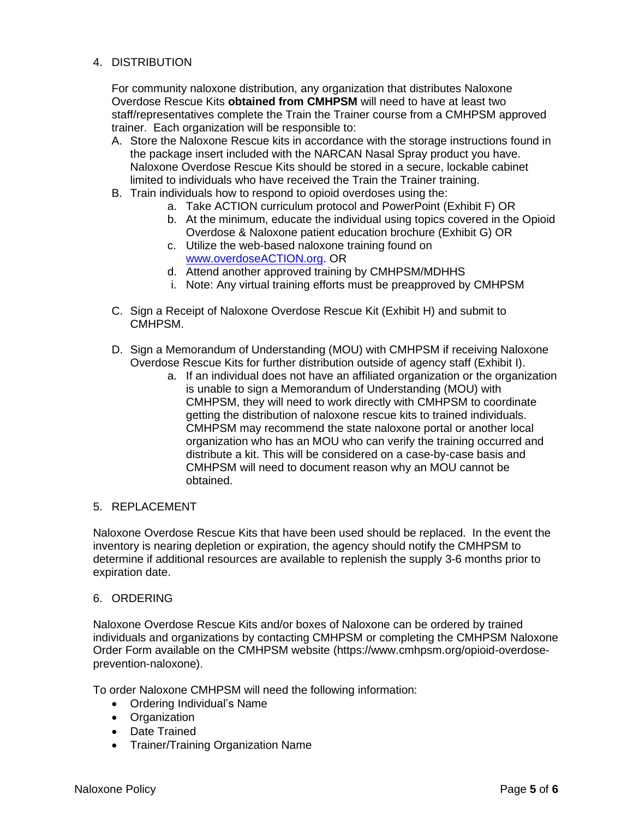# 4. DISTRIBUTION

For community naloxone distribution, any organization that distributes Naloxone Overdose Rescue Kits **obtained from CMHPSM** will need to have at least two staff/representatives complete the Train the Trainer course from a CMHPSM approved trainer. Each organization will be responsible to:

- A. Store the Naloxone Rescue kits in accordance with the storage instructions found in the package insert included with the NARCAN Nasal Spray product you have. Naloxone Overdose Rescue Kits should be stored in a secure, lockable cabinet limited to individuals who have received the Train the Trainer training.
- B. Train individuals how to respond to opioid overdoses using the:
	- a. Take ACTION curriculum protocol and PowerPoint (Exhibit F) OR
	- b. At the minimum, educate the individual using topics covered in the Opioid Overdose & Naloxone patient education brochure (Exhibit G) OR
	- c. Utilize the web-based naloxone training found on [www.overdoseACTION.org.](http://www.overdoseaction.org/) OR
	- d. Attend another approved training by CMHPSM/MDHHS
	- i. Note: Any virtual training efforts must be preapproved by CMHPSM
- C. Sign a Receipt of Naloxone Overdose Rescue Kit (Exhibit H) and submit to CMHPSM.
- D. Sign a Memorandum of Understanding (MOU) with CMHPSM if receiving Naloxone Overdose Rescue Kits for further distribution outside of agency staff (Exhibit I).
	- a. If an individual does not have an affiliated organization or the organization is unable to sign a Memorandum of Understanding (MOU) with CMHPSM, they will need to work directly with CMHPSM to coordinate getting the distribution of naloxone rescue kits to trained individuals. CMHPSM may recommend the state naloxone portal or another local organization who has an MOU who can verify the training occurred and distribute a kit. This will be considered on a case-by-case basis and CMHPSM will need to document reason why an MOU cannot be obtained.

## 5. REPLACEMENT

Naloxone Overdose Rescue Kits that have been used should be replaced. In the event the inventory is nearing depletion or expiration, the agency should notify the CMHPSM to determine if additional resources are available to replenish the supply 3-6 months prior to expiration date.

#### 6. ORDERING

Naloxone Overdose Rescue Kits and/or boxes of Naloxone can be ordered by trained individuals and organizations by contacting CMHPSM or completing the CMHPSM Naloxone Order Form available on the CMHPSM website (https://www.cmhpsm.org/opioid-overdoseprevention-naloxone).

To order Naloxone CMHPSM will need the following information:

- Ordering Individual's Name
- Organization
- Date Trained
- Trainer/Training Organization Name